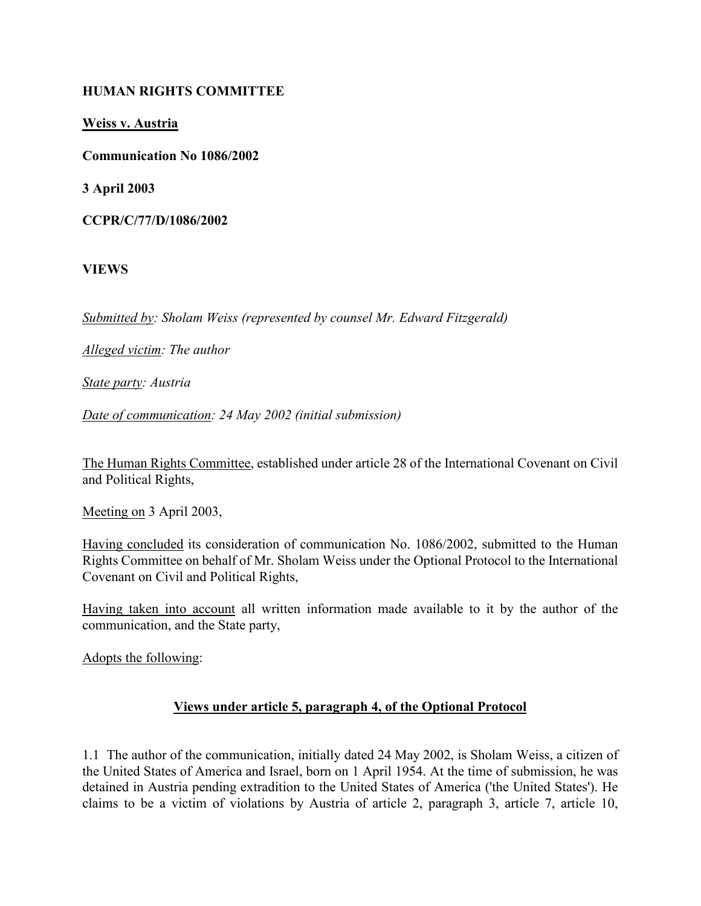### HUMAN RIGHTS COMMITTEE

Weiss v. Austria

Communication No 1086/2002

3 April 2003

CCPR/C/77/D/1086/2002

VIEWS

Submitted by: Sholam Weiss (represented by counsel Mr. Edward Fitzgerald)

Alleged victim: The author

State party: Austria

Date of communication: 24 May 2002 (initial submission)

The Human Rights Committee, established under article 28 of the International Covenant on Civil and Political Rights,

Meeting on 3 April 2003,

Having concluded its consideration of communication No. 1086/2002, submitted to the Human Rights Committee on behalf of Mr. Sholam Weiss under the Optional Protocol to the International Covenant on Civil and Political Rights,

Having taken into account all written information made available to it by the author of the communication, and the State party,

Adopts the following:

### Views under article 5, paragraph 4, of the Optional Protocol

1.1 The author of the communication, initially dated 24 May 2002, is Sholam Weiss, a citizen of the United States of America and Israel, born on 1 April 1954. At the time of submission, he was detained in Austria pending extradition to the United States of America ('the United States'). He claims to be a victim of violations by Austria of article 2, paragraph 3, article 7, article 10,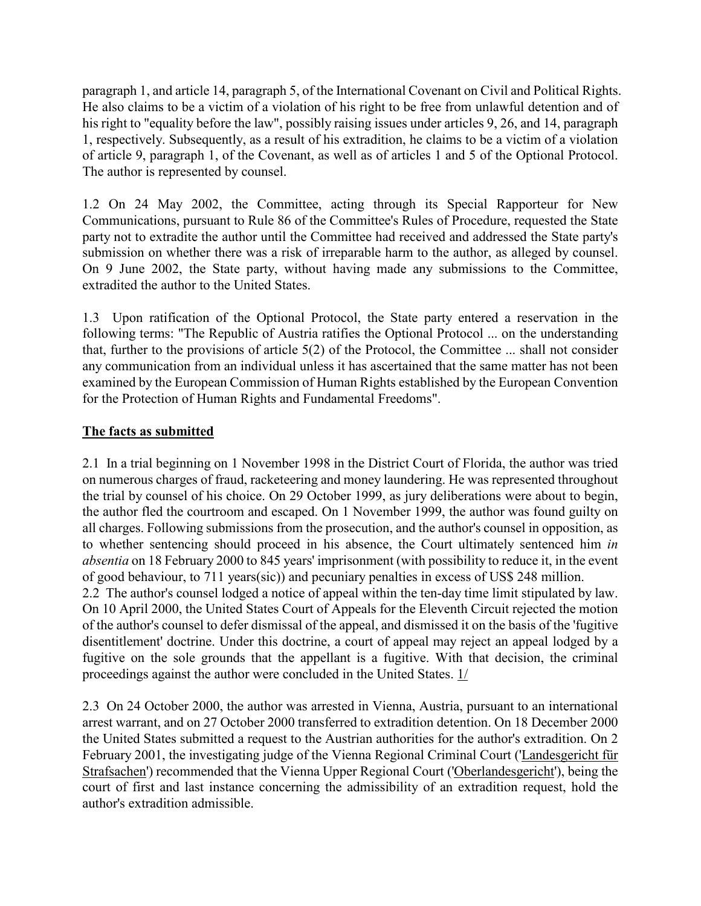paragraph 1, and article 14, paragraph 5, of the International Covenant on Civil and Political Rights. He also claims to be a victim of a violation of his right to be free from unlawful detention and of his right to "equality before the law", possibly raising issues under articles 9, 26, and 14, paragraph 1, respectively. Subsequently, as a result of his extradition, he claims to be a victim of a violation of article 9, paragraph 1, of the Covenant, as well as of articles 1 and 5 of the Optional Protocol. The author is represented by counsel.

1.2 On 24 May 2002, the Committee, acting through its Special Rapporteur for New Communications, pursuant to Rule 86 of the Committee's Rules of Procedure, requested the State party not to extradite the author until the Committee had received and addressed the State party's submission on whether there was a risk of irreparable harm to the author, as alleged by counsel. On 9 June 2002, the State party, without having made any submissions to the Committee, extradited the author to the United States.

1.3 Upon ratification of the Optional Protocol, the State party entered a reservation in the following terms: "The Republic of Austria ratifies the Optional Protocol ... on the understanding that, further to the provisions of article 5(2) of the Protocol, the Committee ... shall not consider any communication from an individual unless it has ascertained that the same matter has not been examined by the European Commission of Human Rights established by the European Convention for the Protection of Human Rights and Fundamental Freedoms".

### The facts as submitted

2.1 In a trial beginning on 1 November 1998 in the District Court of Florida, the author was tried on numerous charges of fraud, racketeering and money laundering. He was represented throughout the trial by counsel of his choice. On 29 October 1999, as jury deliberations were about to begin, the author fled the courtroom and escaped. On 1 November 1999, the author was found guilty on all charges. Following submissions from the prosecution, and the author's counsel in opposition, as to whether sentencing should proceed in his absence, the Court ultimately sentenced him in absentia on 18 February 2000 to 845 years' imprisonment (with possibility to reduce it, in the event of good behaviour, to 711 years(sic)) and pecuniary penalties in excess of US\$ 248 million.

2.2 The author's counsel lodged a notice of appeal within the ten-day time limit stipulated by law. On 10 April 2000, the United States Court of Appeals for the Eleventh Circuit rejected the motion of the author's counsel to defer dismissal of the appeal, and dismissed it on the basis of the 'fugitive disentitlement' doctrine. Under this doctrine, a court of appeal may reject an appeal lodged by a fugitive on the sole grounds that the appellant is a fugitive. With that decision, the criminal proceedings against the author were concluded in the United States. 1/

2.3 On 24 October 2000, the author was arrested in Vienna, Austria, pursuant to an international arrest warrant, and on 27 October 2000 transferred to extradition detention. On 18 December 2000 the United States submitted a request to the Austrian authorities for the author's extradition. On 2 February 2001, the investigating judge of the Vienna Regional Criminal Court ('Landesgericht für Strafsachen') recommended that the Vienna Upper Regional Court ('Oberlandesgericht'), being the court of first and last instance concerning the admissibility of an extradition request, hold the author's extradition admissible.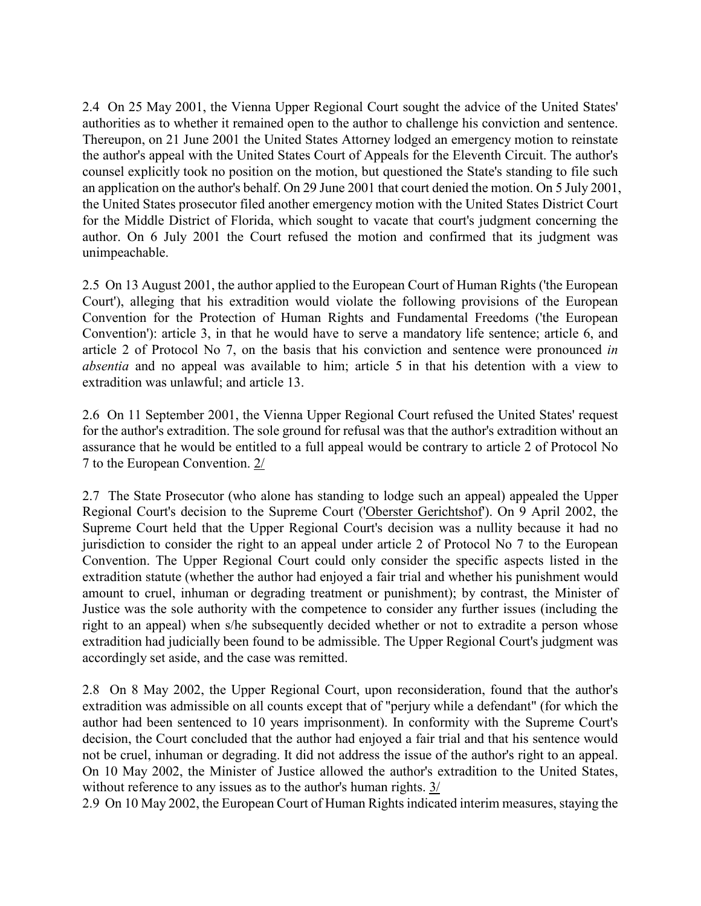2.4 On 25 May 2001, the Vienna Upper Regional Court sought the advice of the United States' authorities as to whether it remained open to the author to challenge his conviction and sentence. Thereupon, on 21 June 2001 the United States Attorney lodged an emergency motion to reinstate the author's appeal with the United States Court of Appeals for the Eleventh Circuit. The author's counsel explicitly took no position on the motion, but questioned the State's standing to file such an application on the author's behalf. On 29 June 2001 that court denied the motion. On 5 July 2001, the United States prosecutor filed another emergency motion with the United States District Court for the Middle District of Florida, which sought to vacate that court's judgment concerning the author. On 6 July 2001 the Court refused the motion and confirmed that its judgment was unimpeachable.

2.5 On 13 August 2001, the author applied to the European Court of Human Rights ('the European Court'), alleging that his extradition would violate the following provisions of the European Convention for the Protection of Human Rights and Fundamental Freedoms ('the European Convention'): article 3, in that he would have to serve a mandatory life sentence; article 6, and article 2 of Protocol No 7, on the basis that his conviction and sentence were pronounced in absentia and no appeal was available to him; article 5 in that his detention with a view to extradition was unlawful; and article 13.

2.6 On 11 September 2001, the Vienna Upper Regional Court refused the United States' request for the author's extradition. The sole ground for refusal was that the author's extradition without an assurance that he would be entitled to a full appeal would be contrary to article 2 of Protocol No 7 to the European Convention. 2/

2.7 The State Prosecutor (who alone has standing to lodge such an appeal) appealed the Upper Regional Court's decision to the Supreme Court ('Oberster Gerichtshof'). On 9 April 2002, the Supreme Court held that the Upper Regional Court's decision was a nullity because it had no jurisdiction to consider the right to an appeal under article 2 of Protocol No 7 to the European Convention. The Upper Regional Court could only consider the specific aspects listed in the extradition statute (whether the author had enjoyed a fair trial and whether his punishment would amount to cruel, inhuman or degrading treatment or punishment); by contrast, the Minister of Justice was the sole authority with the competence to consider any further issues (including the right to an appeal) when s/he subsequently decided whether or not to extradite a person whose extradition had judicially been found to be admissible. The Upper Regional Court's judgment was accordingly set aside, and the case was remitted.

2.8 On 8 May 2002, the Upper Regional Court, upon reconsideration, found that the author's extradition was admissible on all counts except that of "perjury while a defendant" (for which the author had been sentenced to 10 years imprisonment). In conformity with the Supreme Court's decision, the Court concluded that the author had enjoyed a fair trial and that his sentence would not be cruel, inhuman or degrading. It did not address the issue of the author's right to an appeal. On 10 May 2002, the Minister of Justice allowed the author's extradition to the United States, without reference to any issues as to the author's human rights. 3/

2.9 On 10 May 2002, the European Court of Human Rights indicated interim measures, staying the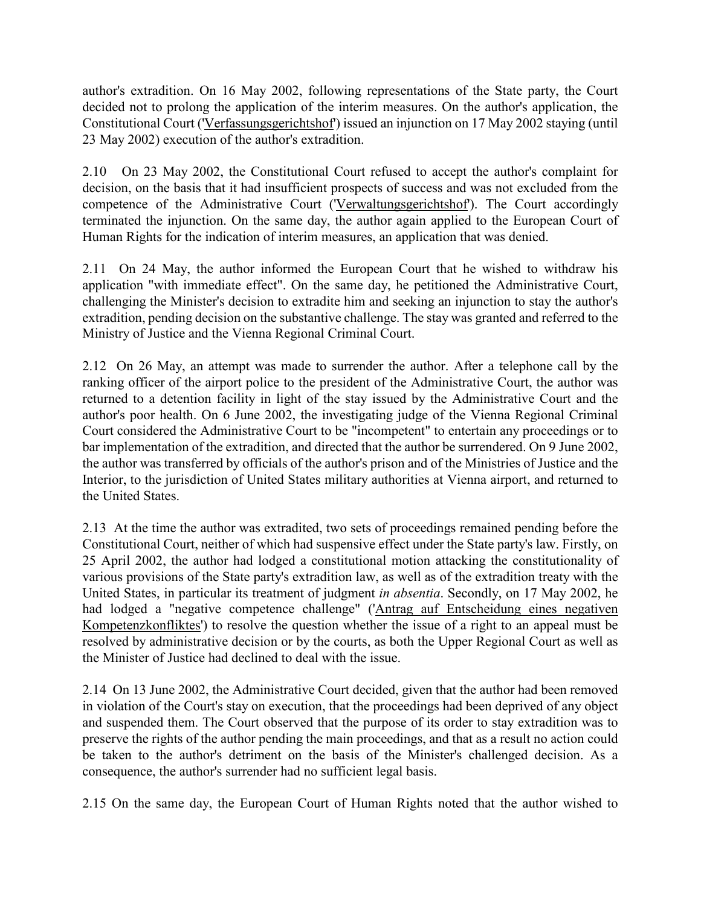author's extradition. On 16 May 2002, following representations of the State party, the Court decided not to prolong the application of the interim measures. On the author's application, the Constitutional Court ('Verfassungsgerichtshof') issued an injunction on 17 May 2002 staying (until 23 May 2002) execution of the author's extradition.

2.10 On 23 May 2002, the Constitutional Court refused to accept the author's complaint for decision, on the basis that it had insufficient prospects of success and was not excluded from the competence of the Administrative Court ('Verwaltungsgerichtshof'). The Court accordingly terminated the injunction. On the same day, the author again applied to the European Court of Human Rights for the indication of interim measures, an application that was denied.

2.11 On 24 May, the author informed the European Court that he wished to withdraw his application "with immediate effect". On the same day, he petitioned the Administrative Court, challenging the Minister's decision to extradite him and seeking an injunction to stay the author's extradition, pending decision on the substantive challenge. The stay was granted and referred to the Ministry of Justice and the Vienna Regional Criminal Court.

2.12 On 26 May, an attempt was made to surrender the author. After a telephone call by the ranking officer of the airport police to the president of the Administrative Court, the author was returned to a detention facility in light of the stay issued by the Administrative Court and the author's poor health. On 6 June 2002, the investigating judge of the Vienna Regional Criminal Court considered the Administrative Court to be "incompetent" to entertain any proceedings or to bar implementation of the extradition, and directed that the author be surrendered. On 9 June 2002, the author was transferred by officials of the author's prison and of the Ministries of Justice and the Interior, to the jurisdiction of United States military authorities at Vienna airport, and returned to the United States.

2.13 At the time the author was extradited, two sets of proceedings remained pending before the Constitutional Court, neither of which had suspensive effect under the State party's law. Firstly, on 25 April 2002, the author had lodged a constitutional motion attacking the constitutionality of various provisions of the State party's extradition law, as well as of the extradition treaty with the United States, in particular its treatment of judgment in absentia. Secondly, on 17 May 2002, he had lodged a "negative competence challenge" ('Antrag auf Entscheidung eines negativen Kompetenzkonfliktes') to resolve the question whether the issue of a right to an appeal must be resolved by administrative decision or by the courts, as both the Upper Regional Court as well as the Minister of Justice had declined to deal with the issue.

2.14 On 13 June 2002, the Administrative Court decided, given that the author had been removed in violation of the Court's stay on execution, that the proceedings had been deprived of any object and suspended them. The Court observed that the purpose of its order to stay extradition was to preserve the rights of the author pending the main proceedings, and that as a result no action could be taken to the author's detriment on the basis of the Minister's challenged decision. As a consequence, the author's surrender had no sufficient legal basis.

2.15 On the same day, the European Court of Human Rights noted that the author wished to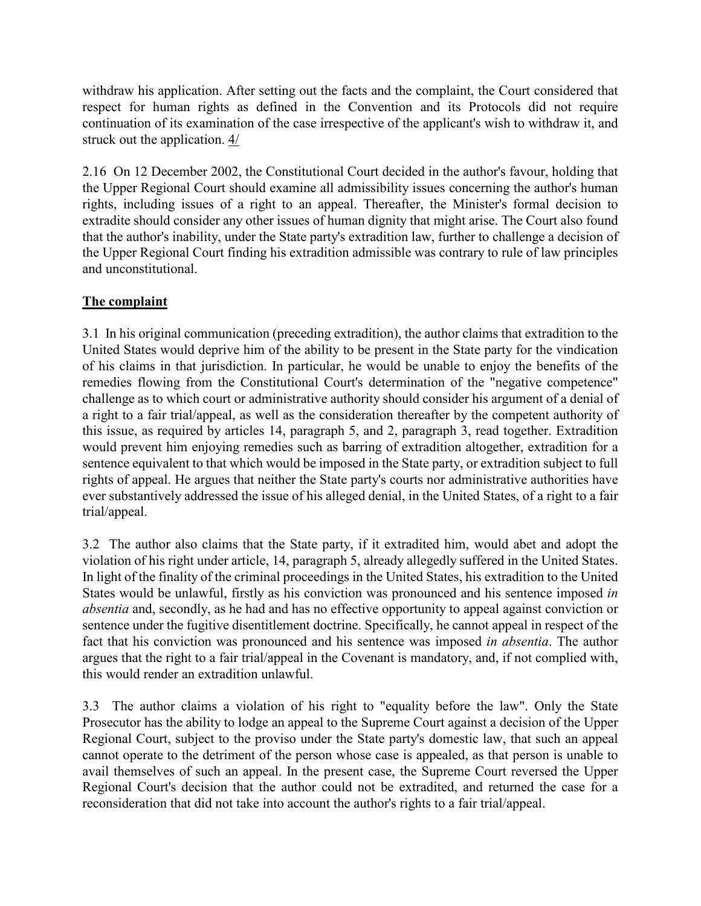withdraw his application. After setting out the facts and the complaint, the Court considered that respect for human rights as defined in the Convention and its Protocols did not require continuation of its examination of the case irrespective of the applicant's wish to withdraw it, and struck out the application. 4/

2.16 On 12 December 2002, the Constitutional Court decided in the author's favour, holding that the Upper Regional Court should examine all admissibility issues concerning the author's human rights, including issues of a right to an appeal. Thereafter, the Minister's formal decision to extradite should consider any other issues of human dignity that might arise. The Court also found that the author's inability, under the State party's extradition law, further to challenge a decision of the Upper Regional Court finding his extradition admissible was contrary to rule of law principles and unconstitutional.

# The complaint

3.1 In his original communication (preceding extradition), the author claims that extradition to the United States would deprive him of the ability to be present in the State party for the vindication of his claims in that jurisdiction. In particular, he would be unable to enjoy the benefits of the remedies flowing from the Constitutional Court's determination of the "negative competence" challenge as to which court or administrative authority should consider his argument of a denial of a right to a fair trial/appeal, as well as the consideration thereafter by the competent authority of this issue, as required by articles 14, paragraph 5, and 2, paragraph 3, read together. Extradition would prevent him enjoying remedies such as barring of extradition altogether, extradition for a sentence equivalent to that which would be imposed in the State party, or extradition subject to full rights of appeal. He argues that neither the State party's courts nor administrative authorities have ever substantively addressed the issue of his alleged denial, in the United States, of a right to a fair trial/appeal.

3.2 The author also claims that the State party, if it extradited him, would abet and adopt the violation of his right under article, 14, paragraph 5, already allegedly suffered in the United States. In light of the finality of the criminal proceedings in the United States, his extradition to the United States would be unlawful, firstly as his conviction was pronounced and his sentence imposed in absentia and, secondly, as he had and has no effective opportunity to appeal against conviction or sentence under the fugitive disentitlement doctrine. Specifically, he cannot appeal in respect of the fact that his conviction was pronounced and his sentence was imposed in absentia. The author argues that the right to a fair trial/appeal in the Covenant is mandatory, and, if not complied with, this would render an extradition unlawful.

3.3 The author claims a violation of his right to "equality before the law". Only the State Prosecutor has the ability to lodge an appeal to the Supreme Court against a decision of the Upper Regional Court, subject to the proviso under the State party's domestic law, that such an appeal cannot operate to the detriment of the person whose case is appealed, as that person is unable to avail themselves of such an appeal. In the present case, the Supreme Court reversed the Upper Regional Court's decision that the author could not be extradited, and returned the case for a reconsideration that did not take into account the author's rights to a fair trial/appeal.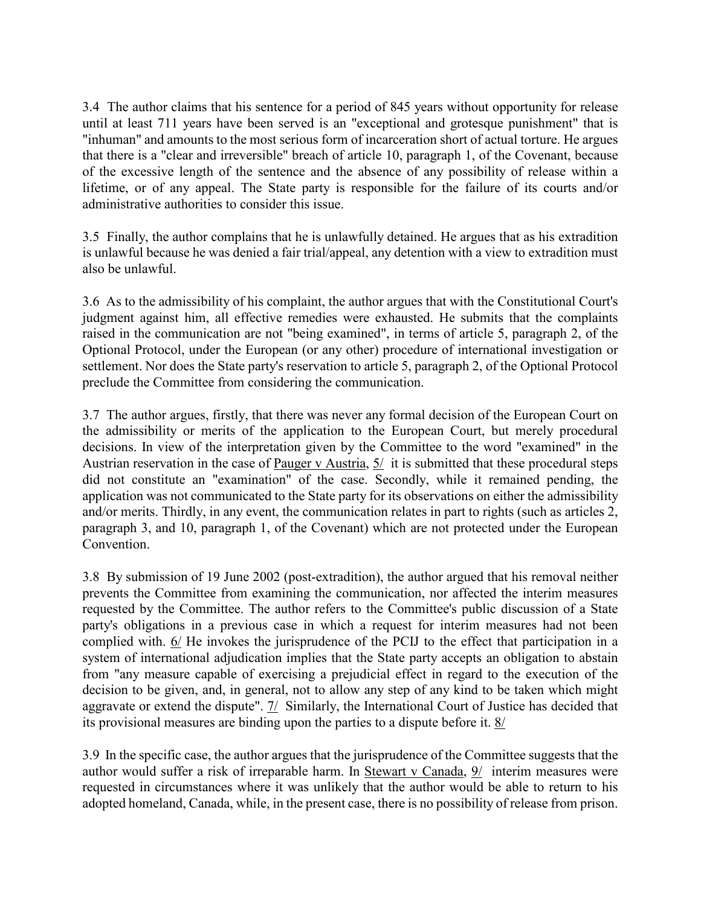3.4 The author claims that his sentence for a period of 845 years without opportunity for release until at least 711 years have been served is an "exceptional and grotesque punishment" that is "inhuman" and amounts to the most serious form of incarceration short of actual torture. He argues that there is a "clear and irreversible" breach of article 10, paragraph 1, of the Covenant, because of the excessive length of the sentence and the absence of any possibility of release within a lifetime, or of any appeal. The State party is responsible for the failure of its courts and/or administrative authorities to consider this issue.

3.5 Finally, the author complains that he is unlawfully detained. He argues that as his extradition is unlawful because he was denied a fair trial/appeal, any detention with a view to extradition must also be unlawful.

3.6 As to the admissibility of his complaint, the author argues that with the Constitutional Court's judgment against him, all effective remedies were exhausted. He submits that the complaints raised in the communication are not "being examined", in terms of article 5, paragraph 2, of the Optional Protocol, under the European (or any other) procedure of international investigation or settlement. Nor does the State party's reservation to article 5, paragraph 2, of the Optional Protocol preclude the Committee from considering the communication.

3.7 The author argues, firstly, that there was never any formal decision of the European Court on the admissibility or merits of the application to the European Court, but merely procedural decisions. In view of the interpretation given by the Committee to the word "examined" in the Austrian reservation in the case of Pauger v Austria, 5/ it is submitted that these procedural steps did not constitute an "examination" of the case. Secondly, while it remained pending, the application was not communicated to the State party for its observations on either the admissibility and/or merits. Thirdly, in any event, the communication relates in part to rights (such as articles 2, paragraph 3, and 10, paragraph 1, of the Covenant) which are not protected under the European Convention.

3.8 By submission of 19 June 2002 (post-extradition), the author argued that his removal neither prevents the Committee from examining the communication, nor affected the interim measures requested by the Committee. The author refers to the Committee's public discussion of a State party's obligations in a previous case in which a request for interim measures had not been complied with.  $6/$  He invokes the jurisprudence of the PCIJ to the effect that participation in a system of international adjudication implies that the State party accepts an obligation to abstain from "any measure capable of exercising a prejudicial effect in regard to the execution of the decision to be given, and, in general, not to allow any step of any kind to be taken which might aggravate or extend the dispute". 7/ Similarly, the International Court of Justice has decided that its provisional measures are binding upon the parties to a dispute before it. 8/

3.9 In the specific case, the author argues that the jurisprudence of the Committee suggests that the author would suffer a risk of irreparable harm. In Stewart v Canada, 9/ interim measures were requested in circumstances where it was unlikely that the author would be able to return to his adopted homeland, Canada, while, in the present case, there is no possibility of release from prison.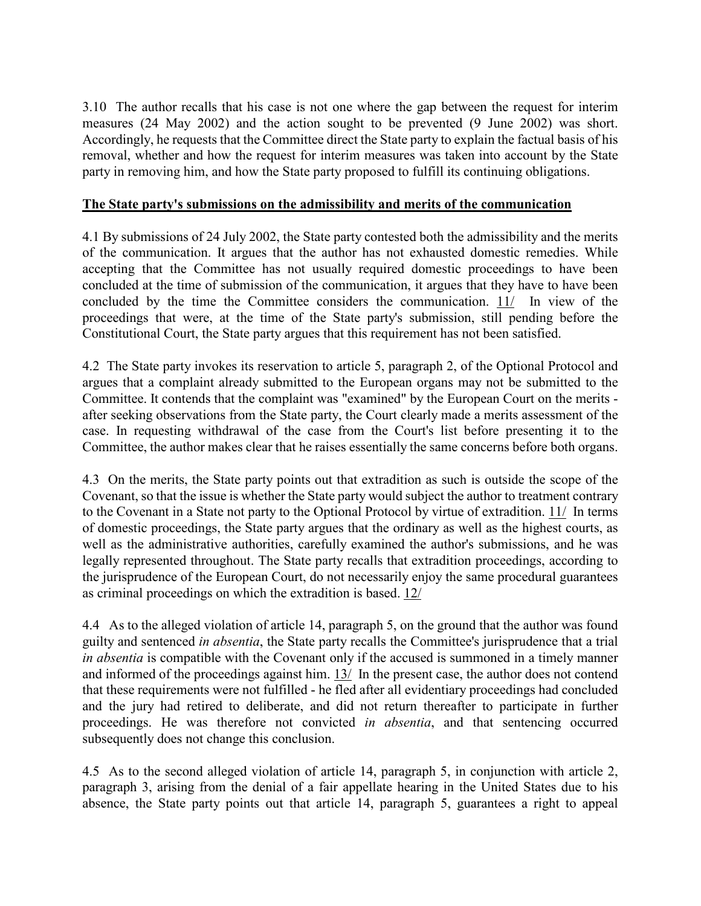3.10 The author recalls that his case is not one where the gap between the request for interim measures (24 May 2002) and the action sought to be prevented (9 June 2002) was short. Accordingly, he requests that the Committee direct the State party to explain the factual basis of his removal, whether and how the request for interim measures was taken into account by the State party in removing him, and how the State party proposed to fulfill its continuing obligations.

#### The State party's submissions on the admissibility and merits of the communication

4.1 By submissions of 24 July 2002, the State party contested both the admissibility and the merits of the communication. It argues that the author has not exhausted domestic remedies. While accepting that the Committee has not usually required domestic proceedings to have been concluded at the time of submission of the communication, it argues that they have to have been concluded by the time the Committee considers the communication. 11/ In view of the proceedings that were, at the time of the State party's submission, still pending before the Constitutional Court, the State party argues that this requirement has not been satisfied.

4.2 The State party invokes its reservation to article 5, paragraph 2, of the Optional Protocol and argues that a complaint already submitted to the European organs may not be submitted to the Committee. It contends that the complaint was "examined" by the European Court on the merits after seeking observations from the State party, the Court clearly made a merits assessment of the case. In requesting withdrawal of the case from the Court's list before presenting it to the Committee, the author makes clear that he raises essentially the same concerns before both organs.

4.3 On the merits, the State party points out that extradition as such is outside the scope of the Covenant, so that the issue is whether the State party would subject the author to treatment contrary to the Covenant in a State not party to the Optional Protocol by virtue of extradition. 11/ In terms of domestic proceedings, the State party argues that the ordinary as well as the highest courts, as well as the administrative authorities, carefully examined the author's submissions, and he was legally represented throughout. The State party recalls that extradition proceedings, according to the jurisprudence of the European Court, do not necessarily enjoy the same procedural guarantees as criminal proceedings on which the extradition is based. 12/

4.4 As to the alleged violation of article 14, paragraph 5, on the ground that the author was found guilty and sentenced in absentia, the State party recalls the Committee's jurisprudence that a trial in absentia is compatible with the Covenant only if the accused is summoned in a timely manner and informed of the proceedings against him. 13/ In the present case, the author does not contend that these requirements were not fulfilled - he fled after all evidentiary proceedings had concluded and the jury had retired to deliberate, and did not return thereafter to participate in further proceedings. He was therefore not convicted in absentia, and that sentencing occurred subsequently does not change this conclusion.

4.5 As to the second alleged violation of article 14, paragraph 5, in conjunction with article 2, paragraph 3, arising from the denial of a fair appellate hearing in the United States due to his absence, the State party points out that article 14, paragraph 5, guarantees a right to appeal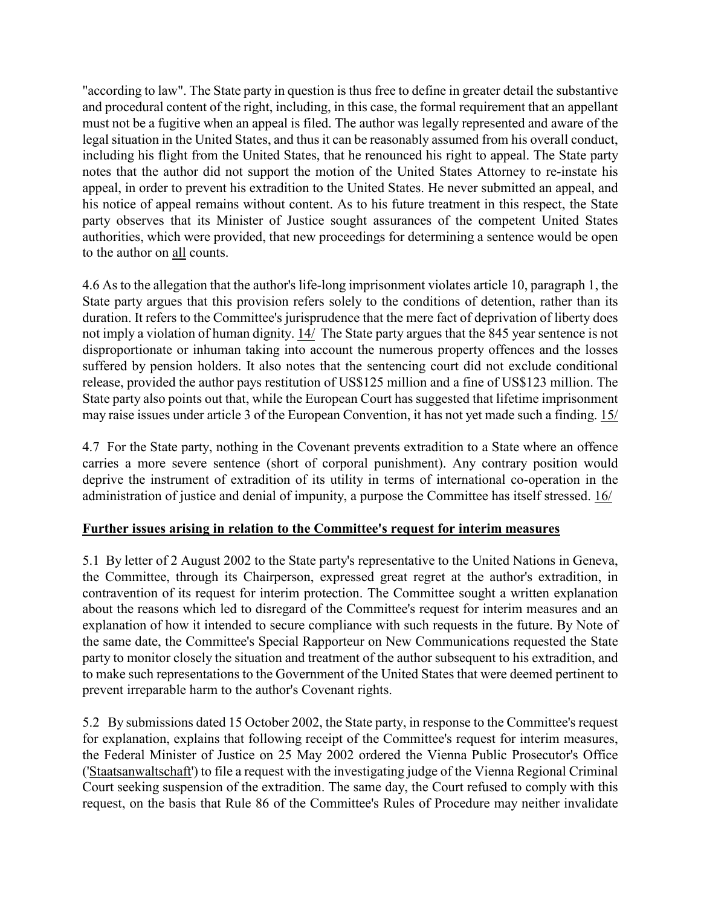"according to law". The State party in question is thus free to define in greater detail the substantive and procedural content of the right, including, in this case, the formal requirement that an appellant must not be a fugitive when an appeal is filed. The author was legally represented and aware of the legal situation in the United States, and thus it can be reasonably assumed from his overall conduct, including his flight from the United States, that he renounced his right to appeal. The State party notes that the author did not support the motion of the United States Attorney to re-instate his appeal, in order to prevent his extradition to the United States. He never submitted an appeal, and his notice of appeal remains without content. As to his future treatment in this respect, the State party observes that its Minister of Justice sought assurances of the competent United States authorities, which were provided, that new proceedings for determining a sentence would be open to the author on all counts.

4.6 As to the allegation that the author's life-long imprisonment violates article 10, paragraph 1, the State party argues that this provision refers solely to the conditions of detention, rather than its duration. It refers to the Committee's jurisprudence that the mere fact of deprivation of liberty does not imply a violation of human dignity. 14/ The State party argues that the 845 year sentence is not disproportionate or inhuman taking into account the numerous property offences and the losses suffered by pension holders. It also notes that the sentencing court did not exclude conditional release, provided the author pays restitution of US\$125 million and a fine of US\$123 million. The State party also points out that, while the European Court has suggested that lifetime imprisonment may raise issues under article 3 of the European Convention, it has not yet made such a finding. 15/

4.7 For the State party, nothing in the Covenant prevents extradition to a State where an offence carries a more severe sentence (short of corporal punishment). Any contrary position would deprive the instrument of extradition of its utility in terms of international co-operation in the administration of justice and denial of impunity, a purpose the Committee has itself stressed. 16/

### Further issues arising in relation to the Committee's request for interim measures

5.1 By letter of 2 August 2002 to the State party's representative to the United Nations in Geneva, the Committee, through its Chairperson, expressed great regret at the author's extradition, in contravention of its request for interim protection. The Committee sought a written explanation about the reasons which led to disregard of the Committee's request for interim measures and an explanation of how it intended to secure compliance with such requests in the future. By Note of the same date, the Committee's Special Rapporteur on New Communications requested the State party to monitor closely the situation and treatment of the author subsequent to his extradition, and to make such representations to the Government of the United States that were deemed pertinent to prevent irreparable harm to the author's Covenant rights.

5.2 By submissions dated 15 October 2002, the State party, in response to the Committee's request for explanation, explains that following receipt of the Committee's request for interim measures, the Federal Minister of Justice on 25 May 2002 ordered the Vienna Public Prosecutor's Office ('Staatsanwaltschaft') to file a request with the investigating judge of the Vienna Regional Criminal Court seeking suspension of the extradition. The same day, the Court refused to comply with this request, on the basis that Rule 86 of the Committee's Rules of Procedure may neither invalidate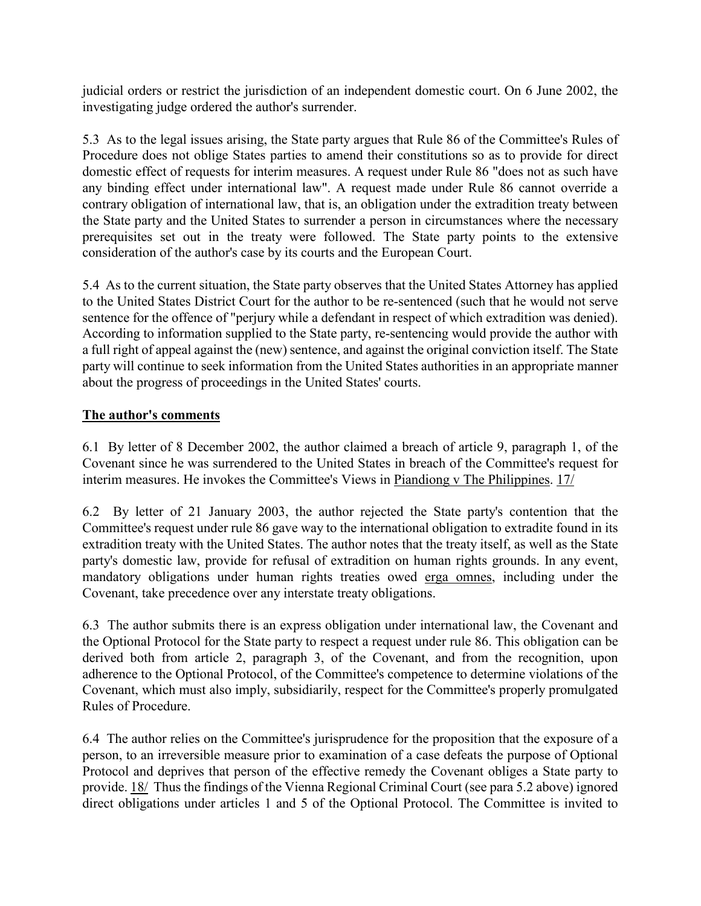judicial orders or restrict the jurisdiction of an independent domestic court. On 6 June 2002, the investigating judge ordered the author's surrender.

5.3 As to the legal issues arising, the State party argues that Rule 86 of the Committee's Rules of Procedure does not oblige States parties to amend their constitutions so as to provide for direct domestic effect of requests for interim measures. A request under Rule 86 "does not as such have any binding effect under international law". A request made under Rule 86 cannot override a contrary obligation of international law, that is, an obligation under the extradition treaty between the State party and the United States to surrender a person in circumstances where the necessary prerequisites set out in the treaty were followed. The State party points to the extensive consideration of the author's case by its courts and the European Court.

5.4 As to the current situation, the State party observes that the United States Attorney has applied to the United States District Court for the author to be re-sentenced (such that he would not serve sentence for the offence of "perjury while a defendant in respect of which extradition was denied). According to information supplied to the State party, re-sentencing would provide the author with a full right of appeal against the (new) sentence, and against the original conviction itself. The State party will continue to seek information from the United States authorities in an appropriate manner about the progress of proceedings in the United States' courts.

# The author's comments

6.1 By letter of 8 December 2002, the author claimed a breach of article 9, paragraph 1, of the Covenant since he was surrendered to the United States in breach of the Committee's request for interim measures. He invokes the Committee's Views in Piandiong v The Philippines. 17/

6.2 By letter of 21 January 2003, the author rejected the State party's contention that the Committee's request under rule 86 gave way to the international obligation to extradite found in its extradition treaty with the United States. The author notes that the treaty itself, as well as the State party's domestic law, provide for refusal of extradition on human rights grounds. In any event, mandatory obligations under human rights treaties owed erga omnes, including under the Covenant, take precedence over any interstate treaty obligations.

6.3 The author submits there is an express obligation under international law, the Covenant and the Optional Protocol for the State party to respect a request under rule 86. This obligation can be derived both from article 2, paragraph 3, of the Covenant, and from the recognition, upon adherence to the Optional Protocol, of the Committee's competence to determine violations of the Covenant, which must also imply, subsidiarily, respect for the Committee's properly promulgated Rules of Procedure.

6.4 The author relies on the Committee's jurisprudence for the proposition that the exposure of a person, to an irreversible measure prior to examination of a case defeats the purpose of Optional Protocol and deprives that person of the effective remedy the Covenant obliges a State party to provide. 18/ Thus the findings of the Vienna Regional Criminal Court (see para 5.2 above) ignored direct obligations under articles 1 and 5 of the Optional Protocol. The Committee is invited to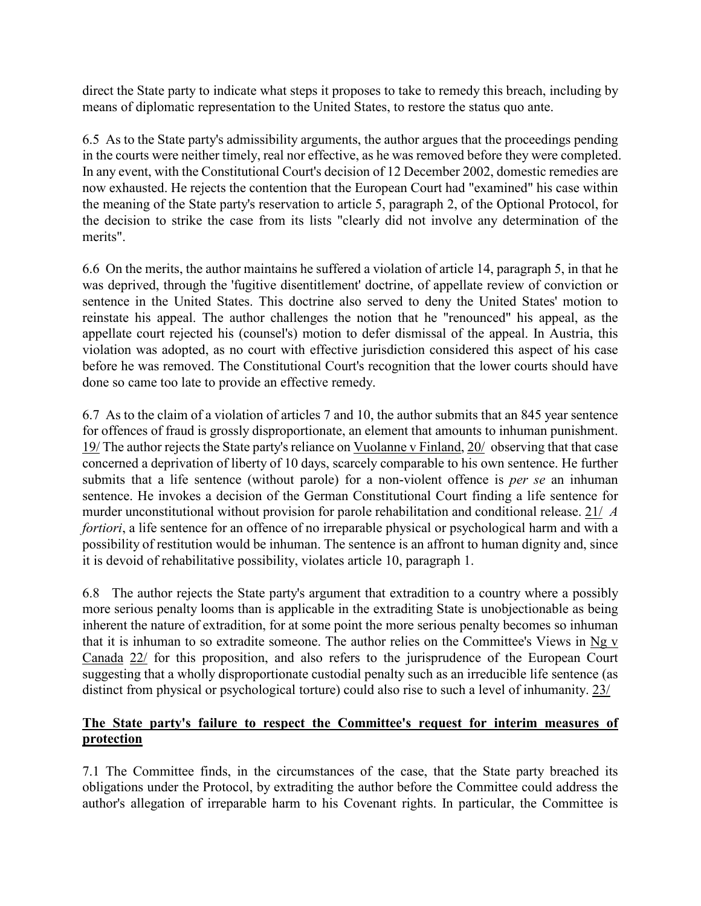direct the State party to indicate what steps it proposes to take to remedy this breach, including by means of diplomatic representation to the United States, to restore the status quo ante.

6.5 As to the State party's admissibility arguments, the author argues that the proceedings pending in the courts were neither timely, real nor effective, as he was removed before they were completed. In any event, with the Constitutional Court's decision of 12 December 2002, domestic remedies are now exhausted. He rejects the contention that the European Court had "examined" his case within the meaning of the State party's reservation to article 5, paragraph 2, of the Optional Protocol, for the decision to strike the case from its lists "clearly did not involve any determination of the merits".

6.6 On the merits, the author maintains he suffered a violation of article 14, paragraph 5, in that he was deprived, through the 'fugitive disentitlement' doctrine, of appellate review of conviction or sentence in the United States. This doctrine also served to deny the United States' motion to reinstate his appeal. The author challenges the notion that he "renounced" his appeal, as the appellate court rejected his (counsel's) motion to defer dismissal of the appeal. In Austria, this violation was adopted, as no court with effective jurisdiction considered this aspect of his case before he was removed. The Constitutional Court's recognition that the lower courts should have done so came too late to provide an effective remedy.

6.7 As to the claim of a violation of articles 7 and 10, the author submits that an 845 year sentence for offences of fraud is grossly disproportionate, an element that amounts to inhuman punishment. 19/ The author rejects the State party's reliance on Vuolanne v Finland, 20/ observing that that case concerned a deprivation of liberty of 10 days, scarcely comparable to his own sentence. He further submits that a life sentence (without parole) for a non-violent offence is *per se* an inhuman sentence. He invokes a decision of the German Constitutional Court finding a life sentence for murder unconstitutional without provision for parole rehabilitation and conditional release. 21/ A fortiori, a life sentence for an offence of no irreparable physical or psychological harm and with a possibility of restitution would be inhuman. The sentence is an affront to human dignity and, since it is devoid of rehabilitative possibility, violates article 10, paragraph 1.

6.8 The author rejects the State party's argument that extradition to a country where a possibly more serious penalty looms than is applicable in the extraditing State is unobjectionable as being inherent the nature of extradition, for at some point the more serious penalty becomes so inhuman that it is inhuman to so extradite someone. The author relies on the Committee's Views in  $\log y$ Canada 22/ for this proposition, and also refers to the jurisprudence of the European Court suggesting that a wholly disproportionate custodial penalty such as an irreducible life sentence (as distinct from physical or psychological torture) could also rise to such a level of inhumanity. 23/

# The State party's failure to respect the Committee's request for interim measures of protection

7.1 The Committee finds, in the circumstances of the case, that the State party breached its obligations under the Protocol, by extraditing the author before the Committee could address the author's allegation of irreparable harm to his Covenant rights. In particular, the Committee is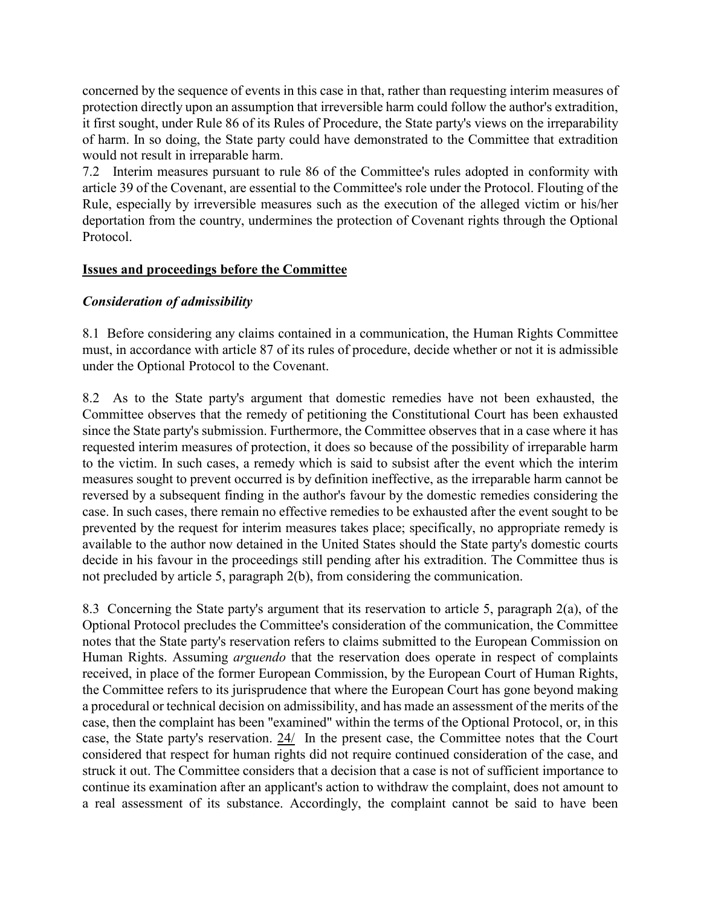concerned by the sequence of events in this case in that, rather than requesting interim measures of protection directly upon an assumption that irreversible harm could follow the author's extradition, it first sought, under Rule 86 of its Rules of Procedure, the State party's views on the irreparability of harm. In so doing, the State party could have demonstrated to the Committee that extradition would not result in irreparable harm.

7.2 Interim measures pursuant to rule 86 of the Committee's rules adopted in conformity with article 39 of the Covenant, are essential to the Committee's role under the Protocol. Flouting of the Rule, especially by irreversible measures such as the execution of the alleged victim or his/her deportation from the country, undermines the protection of Covenant rights through the Optional Protocol.

### Issues and proceedings before the Committee

### Consideration of admissibility

8.1 Before considering any claims contained in a communication, the Human Rights Committee must, in accordance with article 87 of its rules of procedure, decide whether or not it is admissible under the Optional Protocol to the Covenant.

8.2 As to the State party's argument that domestic remedies have not been exhausted, the Committee observes that the remedy of petitioning the Constitutional Court has been exhausted since the State party's submission. Furthermore, the Committee observes that in a case where it has requested interim measures of protection, it does so because of the possibility of irreparable harm to the victim. In such cases, a remedy which is said to subsist after the event which the interim measures sought to prevent occurred is by definition ineffective, as the irreparable harm cannot be reversed by a subsequent finding in the author's favour by the domestic remedies considering the case. In such cases, there remain no effective remedies to be exhausted after the event sought to be prevented by the request for interim measures takes place; specifically, no appropriate remedy is available to the author now detained in the United States should the State party's domestic courts decide in his favour in the proceedings still pending after his extradition. The Committee thus is not precluded by article 5, paragraph 2(b), from considering the communication.

8.3 Concerning the State party's argument that its reservation to article 5, paragraph 2(a), of the Optional Protocol precludes the Committee's consideration of the communication, the Committee notes that the State party's reservation refers to claims submitted to the European Commission on Human Rights. Assuming *arguendo* that the reservation does operate in respect of complaints received, in place of the former European Commission, by the European Court of Human Rights, the Committee refers to its jurisprudence that where the European Court has gone beyond making a procedural or technical decision on admissibility, and has made an assessment of the merits of the case, then the complaint has been "examined" within the terms of the Optional Protocol, or, in this case, the State party's reservation. 24/ In the present case, the Committee notes that the Court considered that respect for human rights did not require continued consideration of the case, and struck it out. The Committee considers that a decision that a case is not of sufficient importance to continue its examination after an applicant's action to withdraw the complaint, does not amount to a real assessment of its substance. Accordingly, the complaint cannot be said to have been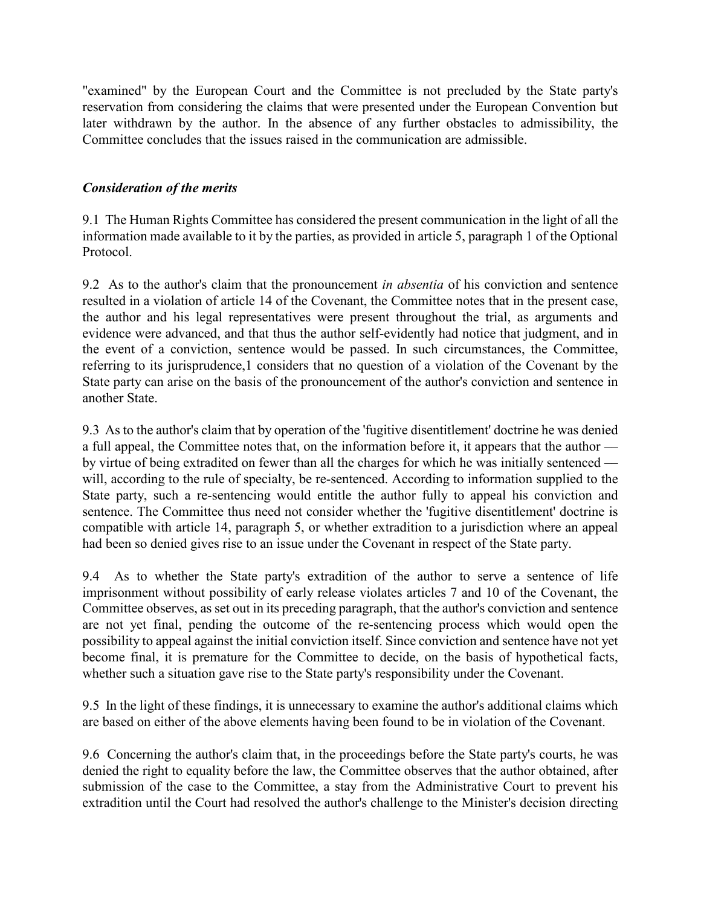"examined" by the European Court and the Committee is not precluded by the State party's reservation from considering the claims that were presented under the European Convention but later withdrawn by the author. In the absence of any further obstacles to admissibility, the Committee concludes that the issues raised in the communication are admissible.

#### Consideration of the merits

9.1 The Human Rights Committee has considered the present communication in the light of all the information made available to it by the parties, as provided in article 5, paragraph 1 of the Optional Protocol.

9.2 As to the author's claim that the pronouncement *in absentia* of his conviction and sentence resulted in a violation of article 14 of the Covenant, the Committee notes that in the present case, the author and his legal representatives were present throughout the trial, as arguments and evidence were advanced, and that thus the author self-evidently had notice that judgment, and in the event of a conviction, sentence would be passed. In such circumstances, the Committee, referring to its jurisprudence,1 considers that no question of a violation of the Covenant by the State party can arise on the basis of the pronouncement of the author's conviction and sentence in another State.

9.3 As to the author's claim that by operation of the 'fugitive disentitlement' doctrine he was denied a full appeal, the Committee notes that, on the information before it, it appears that the author –– by virtue of being extradited on fewer than all the charges for which he was initially sentenced –– will, according to the rule of specialty, be re-sentenced. According to information supplied to the State party, such a re-sentencing would entitle the author fully to appeal his conviction and sentence. The Committee thus need not consider whether the 'fugitive disentitlement' doctrine is compatible with article 14, paragraph 5, or whether extradition to a jurisdiction where an appeal had been so denied gives rise to an issue under the Covenant in respect of the State party.

9.4 As to whether the State party's extradition of the author to serve a sentence of life imprisonment without possibility of early release violates articles 7 and 10 of the Covenant, the Committee observes, as set out in its preceding paragraph, that the author's conviction and sentence are not yet final, pending the outcome of the re-sentencing process which would open the possibility to appeal against the initial conviction itself. Since conviction and sentence have not yet become final, it is premature for the Committee to decide, on the basis of hypothetical facts, whether such a situation gave rise to the State party's responsibility under the Covenant.

9.5 In the light of these findings, it is unnecessary to examine the author's additional claims which are based on either of the above elements having been found to be in violation of the Covenant.

9.6 Concerning the author's claim that, in the proceedings before the State party's courts, he was denied the right to equality before the law, the Committee observes that the author obtained, after submission of the case to the Committee, a stay from the Administrative Court to prevent his extradition until the Court had resolved the author's challenge to the Minister's decision directing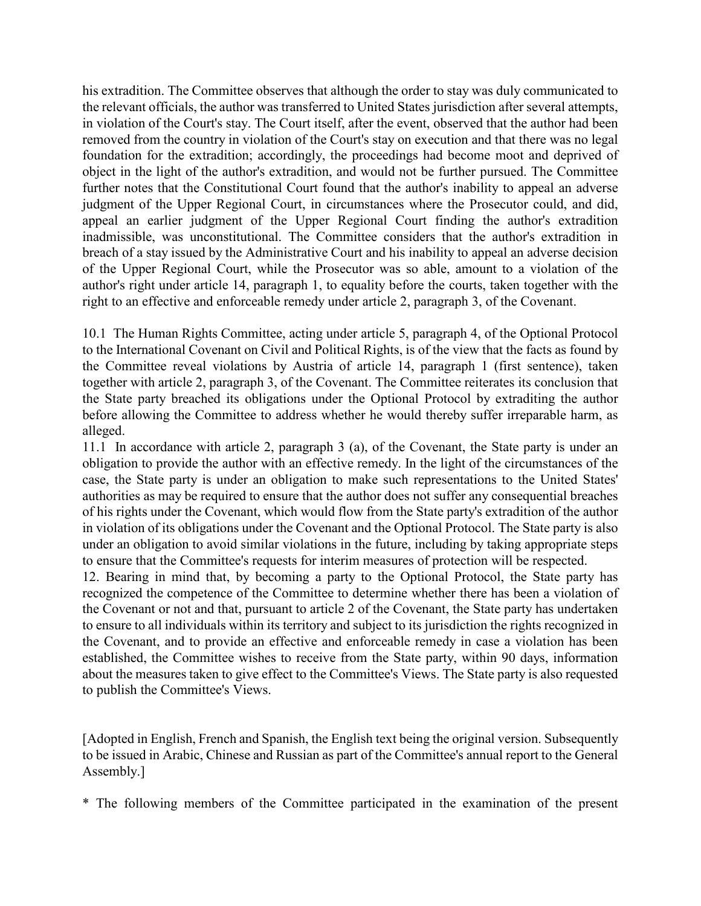his extradition. The Committee observes that although the order to stay was duly communicated to the relevant officials, the author was transferred to United States jurisdiction after several attempts, in violation of the Court's stay. The Court itself, after the event, observed that the author had been removed from the country in violation of the Court's stay on execution and that there was no legal foundation for the extradition; accordingly, the proceedings had become moot and deprived of object in the light of the author's extradition, and would not be further pursued. The Committee further notes that the Constitutional Court found that the author's inability to appeal an adverse judgment of the Upper Regional Court, in circumstances where the Prosecutor could, and did, appeal an earlier judgment of the Upper Regional Court finding the author's extradition inadmissible, was unconstitutional. The Committee considers that the author's extradition in breach of a stay issued by the Administrative Court and his inability to appeal an adverse decision of the Upper Regional Court, while the Prosecutor was so able, amount to a violation of the author's right under article 14, paragraph 1, to equality before the courts, taken together with the right to an effective and enforceable remedy under article 2, paragraph 3, of the Covenant.

10.1 The Human Rights Committee, acting under article 5, paragraph 4, of the Optional Protocol to the International Covenant on Civil and Political Rights, is of the view that the facts as found by the Committee reveal violations by Austria of article 14, paragraph 1 (first sentence), taken together with article 2, paragraph 3, of the Covenant. The Committee reiterates its conclusion that the State party breached its obligations under the Optional Protocol by extraditing the author before allowing the Committee to address whether he would thereby suffer irreparable harm, as alleged.

11.1 In accordance with article 2, paragraph 3 (a), of the Covenant, the State party is under an obligation to provide the author with an effective remedy. In the light of the circumstances of the case, the State party is under an obligation to make such representations to the United States' authorities as may be required to ensure that the author does not suffer any consequential breaches of his rights under the Covenant, which would flow from the State party's extradition of the author in violation of its obligations under the Covenant and the Optional Protocol. The State party is also under an obligation to avoid similar violations in the future, including by taking appropriate steps to ensure that the Committee's requests for interim measures of protection will be respected.

12. Bearing in mind that, by becoming a party to the Optional Protocol, the State party has recognized the competence of the Committee to determine whether there has been a violation of the Covenant or not and that, pursuant to article 2 of the Covenant, the State party has undertaken to ensure to all individuals within its territory and subject to its jurisdiction the rights recognized in the Covenant, and to provide an effective and enforceable remedy in case a violation has been established, the Committee wishes to receive from the State party, within 90 days, information about the measures taken to give effect to the Committee's Views. The State party is also requested to publish the Committee's Views.

[Adopted in English, French and Spanish, the English text being the original version. Subsequently to be issued in Arabic, Chinese and Russian as part of the Committee's annual report to the General Assembly.]

\* The following members of the Committee participated in the examination of the present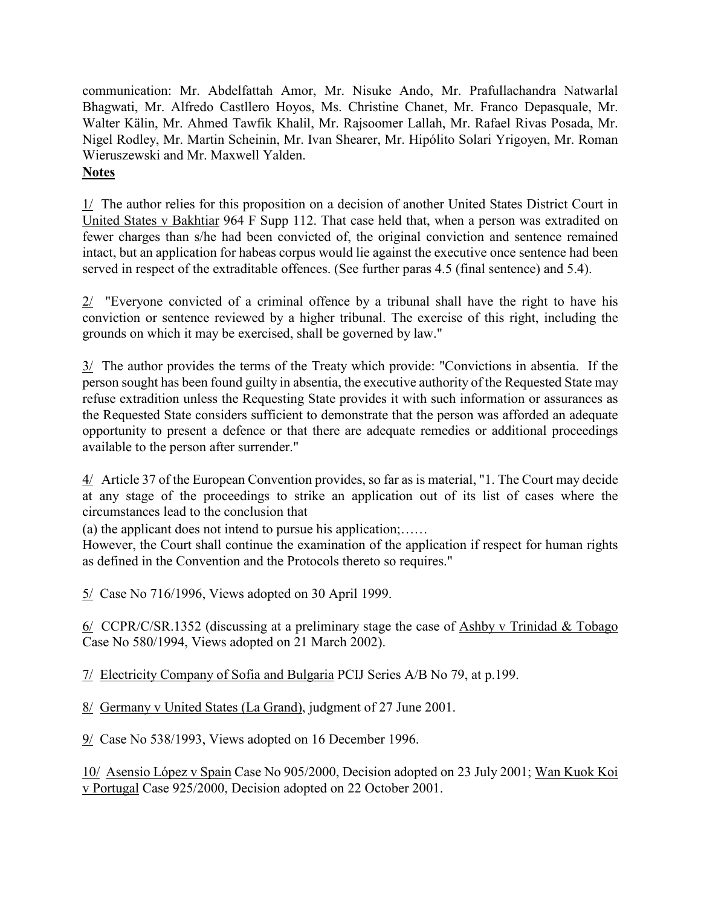communication: Mr. Abdelfattah Amor, Mr. Nisuke Ando, Mr. Prafullachandra Natwarlal Bhagwati, Mr. Alfredo Castllero Hoyos, Ms. Christine Chanet, Mr. Franco Depasquale, Mr. Walter Kälin, Mr. Ahmed Tawfik Khalil, Mr. Rajsoomer Lallah, Mr. Rafael Rivas Posada, Mr. Nigel Rodley, Mr. Martin Scheinin, Mr. Ivan Shearer, Mr. Hipólito Solari Yrigoyen, Mr. Roman Wieruszewski and Mr. Maxwell Yalden. **Notes** 

1/ The author relies for this proposition on a decision of another United States District Court in United States v Bakhtiar 964 F Supp 112. That case held that, when a person was extradited on fewer charges than s/he had been convicted of, the original conviction and sentence remained intact, but an application for habeas corpus would lie against the executive once sentence had been served in respect of the extraditable offences. (See further paras 4.5 (final sentence) and 5.4).

2/ "Everyone convicted of a criminal offence by a tribunal shall have the right to have his conviction or sentence reviewed by a higher tribunal. The exercise of this right, including the grounds on which it may be exercised, shall be governed by law."

3/ The author provides the terms of the Treaty which provide: "Convictions in absentia. If the person sought has been found guilty in absentia, the executive authority of the Requested State may refuse extradition unless the Requesting State provides it with such information or assurances as the Requested State considers sufficient to demonstrate that the person was afforded an adequate opportunity to present a defence or that there are adequate remedies or additional proceedings available to the person after surrender."

4/ Article 37 of the European Convention provides, so far as is material, "1. The Court may decide at any stage of the proceedings to strike an application out of its list of cases where the circumstances lead to the conclusion that

(a) the applicant does not intend to pursue his application;……

However, the Court shall continue the examination of the application if respect for human rights as defined in the Convention and the Protocols thereto so requires."

5/ Case No 716/1996, Views adopted on 30 April 1999.

 $6/$  CCPR/C/SR.1352 (discussing at a preliminary stage the case of Ashby v Trinidad & Tobago Case No 580/1994, Views adopted on 21 March 2002).

7/ Electricity Company of Sofia and Bulgaria PCIJ Series A/B No 79, at p.199.

8/ Germany v United States (La Grand), judgment of 27 June 2001.

9/ Case No 538/1993, Views adopted on 16 December 1996.

10/ Asensio López v Spain Case No 905/2000, Decision adopted on 23 July 2001; Wan Kuok Koi v Portugal Case 925/2000, Decision adopted on 22 October 2001.